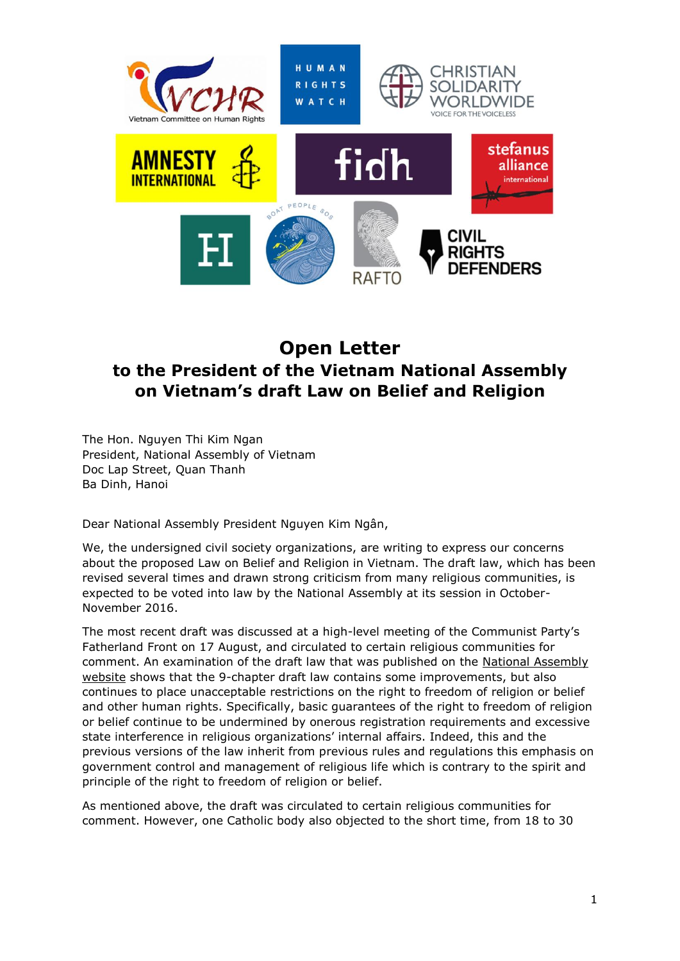

# **Open Letter to the President of the Vietnam National Assembly on Vietnam's draft Law on Belief and Religion**

The Hon. Nguyen Thi Kim Ngan President, National Assembly of Vietnam Doc Lap Street, Quan Thanh Ba Dinh, Hanoi

Dear National Assembly President Nguyen Kim Ngân,

We, the undersigned civil society organizations, are writing to express our concerns about the proposed Law on Belief and Religion in Vietnam. The draft law, which has been revised several times and drawn strong criticism from many religious communities, is expected to be voted into law by the National Assembly at its session in October-November 2016.

The most recent draft was discussed at a high-level meeting of the Communist Party's Fatherland Front on 17 August, and circulated to certain religious communities for comment. An examination of the draft law that was published on the [National Assembly](http://duthaoonline.quochoi.vn/DuThao/Lists/DT_DUTHAO_LUAT/View_Detail.aspx?ItemID=1038&LanID=1248&TabIndex=1)  [website](http://duthaoonline.quochoi.vn/DuThao/Lists/DT_DUTHAO_LUAT/View_Detail.aspx?ItemID=1038&LanID=1248&TabIndex=1) shows that the 9-chapter draft law contains some improvements, but also continues to place unacceptable restrictions on the right to freedom of religion or belief and other human rights. Specifically, basic guarantees of the right to freedom of religion or belief continue to be undermined by onerous registration requirements and excessive state interference in religious organizations' internal affairs. Indeed, this and the previous versions of the law inherit from previous rules and regulations this emphasis on government control and management of religious life which is contrary to the spirit and principle of the right to freedom of religion or belief.

As mentioned above, the draft was circulated to certain religious communities for comment. However, one Catholic body also objected to the short time, from 18 to 30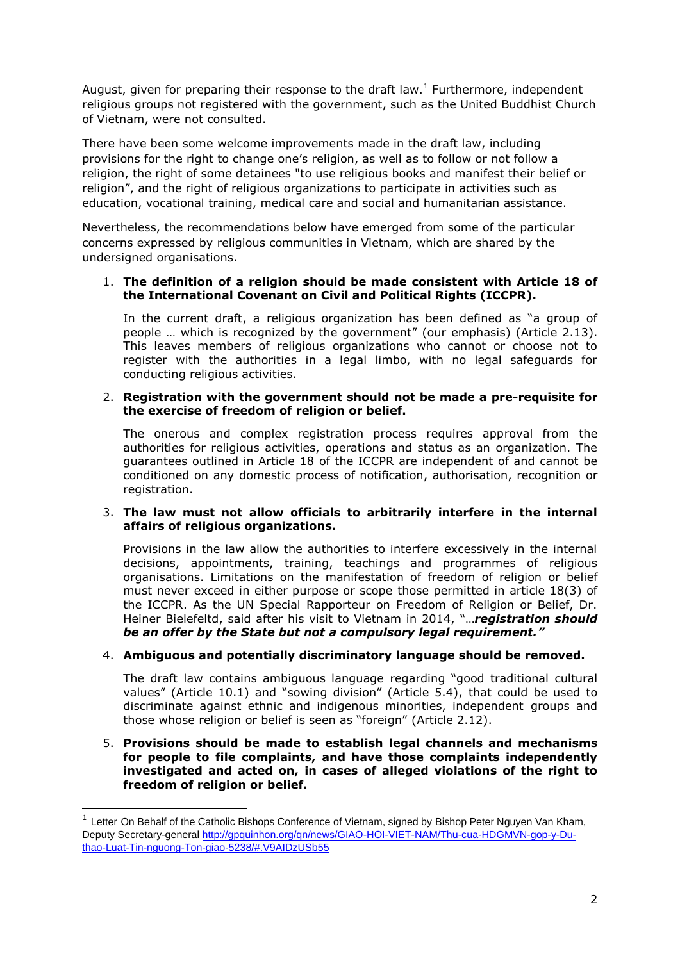August, given for preparing their response to the draft law.<sup>1</sup> Furthermore, independent religious groups not registered with the government, such as the United Buddhist Church of Vietnam, were not consulted.

There have been some welcome improvements made in the draft law, including provisions for the right to change one's religion, as well as to follow or not follow a religion, the right of some detainees "to use religious books and manifest their belief or religion", and the right of religious organizations to participate in activities such as education, vocational training, medical care and social and humanitarian assistance.

Nevertheless, the recommendations below have emerged from some of the particular concerns expressed by religious communities in Vietnam, which are shared by the undersigned organisations.

## 1. **The definition of a religion should be made consistent with Article 18 of the International Covenant on Civil and Political Rights (ICCPR).**

In the current draft, a religious organization has been defined as "a group of people ... which is recognized by the government" (our emphasis) (Article 2.13). This leaves members of religious organizations who cannot or choose not to register with the authorities in a legal limbo, with no legal safeguards for conducting religious activities.

### 2. **Registration with the government should not be made a pre-requisite for the exercise of freedom of religion or belief.**

The onerous and complex registration process requires approval from the authorities for religious activities, operations and status as an organization. The guarantees outlined in Article 18 of the ICCPR are independent of and cannot be conditioned on any domestic process of notification, authorisation, recognition or registration.

## 3. **The law must not allow officials to arbitrarily interfere in the internal affairs of religious organizations.**

Provisions in the law allow the authorities to interfere excessively in the internal decisions, appointments, training, teachings and programmes of religious organisations. Limitations on the manifestation of freedom of religion or belief must never exceed in either purpose or scope those permitted in article 18(3) of the ICCPR. As the UN Special Rapporteur on Freedom of Religion or Belief, Dr. Heiner Bielefeltd, said after his visit to Vietnam in 2014, "…*registration should be an offer by the State but not a compulsory legal requirement."*

## 4. **Ambiguous and potentially discriminatory language should be removed.**

The draft law contains ambiguous language regarding "good traditional cultural values" (Article 10.1) and "sowing division" (Article 5.4), that could be used to discriminate against ethnic and indigenous minorities, independent groups and those whose religion or belief is seen as "foreign" (Article 2.12).

## 5. **Provisions should be made to establish legal channels and mechanisms for people to file complaints, and have those complaints independently investigated and acted on, in cases of alleged violations of the right to freedom of religion or belief.**

-

<sup>&</sup>lt;sup>1</sup> Letter On Behalf of the Catholic Bishops Conference of Vietnam, signed by Bishop Peter Nguyen Van Kham, Deputy Secretary-general [http://gpquinhon.org/qn/news/GIAO-HOI-VIET-NAM/Thu-cua-HDGMVN-gop-y-Du](http://gpquinhon.org/qn/news/GIAO-HOI-VIET-NAM/Thu-cua-HDGMVN-gop-y-Du-thao-Luat-Tin-nguong-Ton-giao-5238/#.V9AIDzUSb55)[thao-Luat-Tin-nguong-Ton-giao-5238/#.V9AIDzUSb55](http://gpquinhon.org/qn/news/GIAO-HOI-VIET-NAM/Thu-cua-HDGMVN-gop-y-Du-thao-Luat-Tin-nguong-Ton-giao-5238/#.V9AIDzUSb55)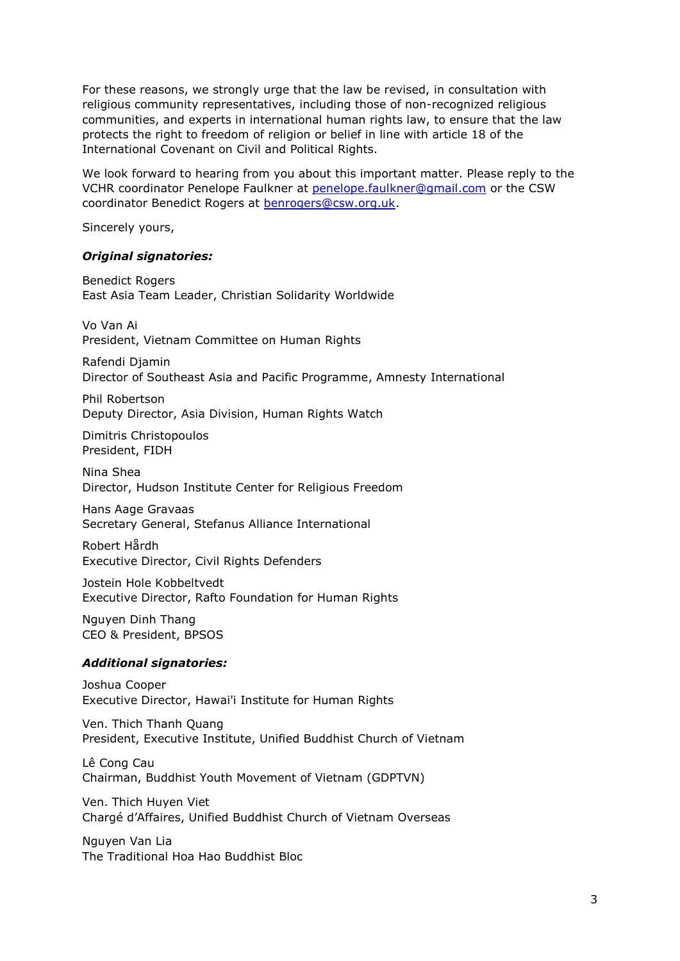For these reasons, we strongly urge that the law be revised, in consultation with religious community representatives, including those of non-recognized religious communities, and experts in international human rights law, to ensure that the law protects the right to freedom of religion or belief in line with article 18 of the International Covenant on Civil and Political Rights.

We look forward to hearing from you about this important matter. Please reply to the VCHR coordinator Penelope Faulkner at [penelope.faulkner@gmail.com](mailto:penelope.faulkner@gmail.com) or the CSW coordinator Benedict Rogers at [benrogers@csw.org.uk.](mailto:benrogers@csw.org.uk)

Sincerely yours,

#### *Original signatories:*

Benedict Rogers East Asia Team Leader, Christian Solidarity Worldwide

Vo Van Ai President, Vietnam Committee on Human Rights

Rafendi Djamin Director of Southeast Asia and Pacific Programme, Amnesty International

Phil Robertson Deputy Director, Asia Division, Human Rights Watch

Dimitris Christopoulos President, FIDH

Nina Shea Director, Hudson Institute Center for Religious Freedom

Hans Aage Gravaas Secretary General, Stefanus Alliance International

Robert Hårdh Executive Director, Civil Rights Defenders

Jostein Hole Kobbeltvedt Executive Director, Rafto Foundation for Human Rights

Nguyen Dinh Thang CEO & President, BPSOS

## *Additional signatories:*

Joshua Cooper Executive Director, Hawai'i Institute for Human Rights

Ven. Thich Thanh Quang President, Executive Institute, Unified Buddhist Church of Vietnam

Lê Cong Cau Chairman, Buddhist Youth Movement of Vietnam (GDPTVN)

Ven. Thich Huyen Viet Chargé d'Affaires, Unified Buddhist Church of Vietnam Overseas

Nguyen Van Lia The Traditional Hoa Hao Buddhist Bloc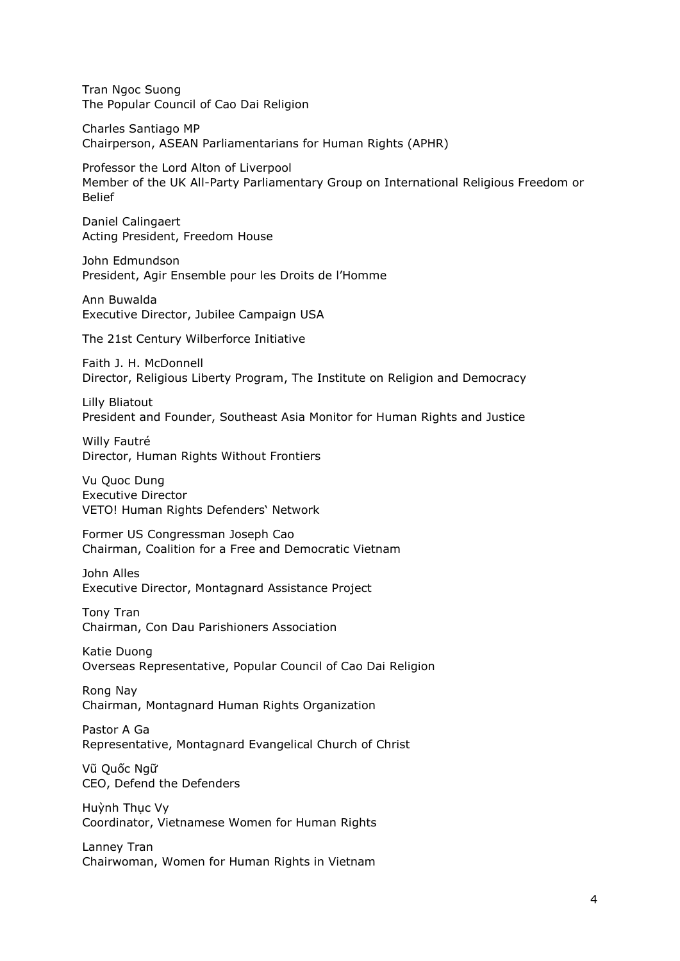Tran Ngoc Suong The Popular Council of Cao Dai Religion

Charles Santiago MP Chairperson, ASEAN Parliamentarians for Human Rights (APHR)

Professor the Lord Alton of Liverpool Member of the UK All-Party Parliamentary Group on International Religious Freedom or Belief

Daniel Calingaert Acting President, Freedom House

John Edmundson President, Agir Ensemble pour les Droits de l'Homme

Ann Buwalda Executive Director, Jubilee Campaign USA

The 21st Century Wilberforce Initiative

Faith J. H. McDonnell Director, Religious Liberty Program, The Institute on Religion and Democracy

Lilly Bliatout President and Founder, Southeast Asia Monitor for Human Rights and Justice

Willy Fautré Director, Human Rights Without Frontiers

Vu Quoc Dung Executive Director VETO! Human Rights Defenders' Network

Former US Congressman Joseph Cao Chairman, Coalition for a Free and Democratic Vietnam

John Alles Executive Director, Montagnard Assistance Project

Tony Tran Chairman, Con Dau Parishioners Association

Katie Duong Overseas Representative, Popular Council of Cao Dai Religion

Rong Nay Chairman, Montagnard Human Rights Organization

Pastor A Ga Representative, Montagnard Evangelical Church of Christ

Vũ Quốc Ngữ CEO, Defend the Defenders

Huỳnh Thục Vy Coordinator, Vietnamese Women for Human Rights

Lanney Tran Chairwoman, Women for Human Rights in Vietnam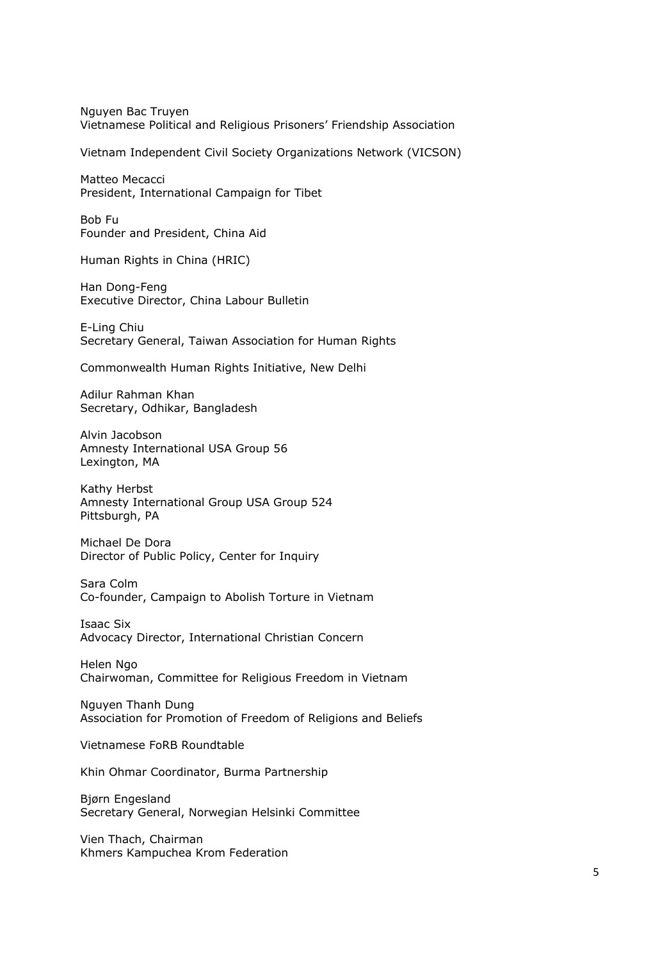Nguyen Bac Truyen Vietnamese Political and Religious Prisoners' Friendship Association

Vietnam Independent Civil Society Organizations Network (VICSON)

Matteo Mecacci President, International Campaign for Tibet

Bob Fu Founder and President, China Aid

Human Rights in China (HRIC)

Han Dong-Feng Executive Director, China Labour Bulletin

E-Ling Chiu Secretary General, Taiwan Association for Human Rights

Commonwealth Human Rights Initiative, New Delhi

Adilur Rahman Khan Secretary, Odhikar, Bangladesh

Alvin Jacobson Amnesty International USA Group 56 Lexington, MA

Kathy Herbst Amnesty International Group USA Group 524 Pittsburgh, PA

Michael De Dora Director of Public Policy, Center for Inquiry

Sara Colm Co-founder, Campaign to Abolish Torture in Vietnam

Isaac Six Advocacy Director, International Christian Concern

Helen Ngo Chairwoman, Committee for Religious Freedom in Vietnam

Nguyen Thanh Dung Association for Promotion of Freedom of Religions and Beliefs

Vietnamese FoRB Roundtable

Khin Ohmar Coordinator, Burma Partnership

Bjørn Engesland Secretary General, Norwegian Helsinki Committee

Vien Thach, Chairman Khmers Kampuchea Krom Federation